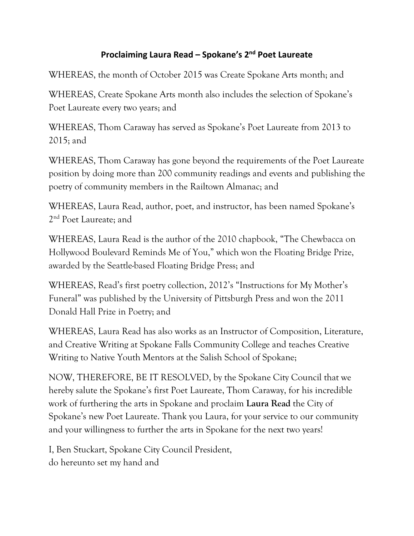## **Proclaiming Laura Read – Spokane's 2nd Poet Laureate**

WHEREAS, the month of October 2015 was Create Spokane Arts month; and

WHEREAS, Create Spokane Arts month also includes the selection of Spokane's Poet Laureate every two years; and

WHEREAS, Thom Caraway has served as Spokane's Poet Laureate from 2013 to 2015; and

WHEREAS, Thom Caraway has gone beyond the requirements of the Poet Laureate position by doing more than 200 community readings and events and publishing the poetry of community members in the Railtown Almanac; and

WHEREAS, Laura Read, author, poet, and instructor, has been named Spokane's 2<sup>nd</sup> Poet Laureate; and

WHEREAS, Laura Read is the author of the 2010 chapbook, "The Chewbacca on Hollywood Boulevard Reminds Me of You," which won the Floating Bridge Prize, awarded by the Seattle-based Floating Bridge Press; and

WHEREAS, Read's first poetry collection, 2012's "Instructions for My Mother's Funeral" was published by the University of Pittsburgh Press and won the 2011 Donald Hall Prize in Poetry; and

WHEREAS, Laura Read has also works as an Instructor of Composition, Literature, and Creative Writing at Spokane Falls Community College and teaches Creative Writing to Native Youth Mentors at the Salish School of Spokane;

NOW, THEREFORE, BE IT RESOLVED, by the Spokane City Council that we hereby salute the Spokane's first Poet Laureate, Thom Caraway, for his incredible work of furthering the arts in Spokane and proclaim **Laura Read** the City of Spokane's new Poet Laureate. Thank you Laura, for your service to our community and your willingness to further the arts in Spokane for the next two years!

I, Ben Stuckart, Spokane City Council President, do hereunto set my hand and